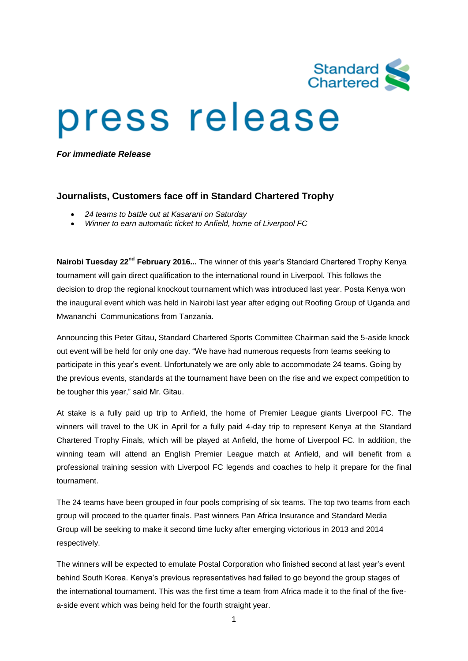

## press release

*For immediate Release*

## **Journalists, Customers face off in Standard Chartered Trophy**

- *24 teams to battle out at Kasarani on Saturday*
- *Winner to earn automatic ticket to Anfield, home of Liverpool FC*

**Nairobi Tuesday 22nd February 2016...** The winner of this year's Standard Chartered Trophy Kenya tournament will gain direct qualification to the international round in Liverpool. This follows the decision to drop the regional knockout tournament which was introduced last year. Posta Kenya won the inaugural event which was held in Nairobi last year after edging out Roofing Group of Uganda and Mwananchi Communications from Tanzania.

Announcing this Peter Gitau, Standard Chartered Sports Committee Chairman said the 5-aside knock out event will be held for only one day. "We have had numerous requests from teams seeking to participate in this year's event. Unfortunately we are only able to accommodate 24 teams. Going by the previous events, standards at the tournament have been on the rise and we expect competition to be tougher this year," said Mr. Gitau.

At stake is a fully paid up trip to Anfield, the home of Premier League giants Liverpool FC. The winners will travel to the UK in April for a fully paid 4-day trip to represent Kenya at the Standard Chartered Trophy Finals, which will be played at Anfield, the home of Liverpool FC. In addition, the winning team will attend an English Premier League match at Anfield, and will benefit from a professional training session with Liverpool FC legends and coaches to help it prepare for the final tournament.

The 24 teams have been grouped in four pools comprising of six teams. The top two teams from each group will proceed to the quarter finals. Past winners Pan Africa Insurance and Standard Media Group will be seeking to make it second time lucky after emerging victorious in 2013 and 2014 respectively.

The winners will be expected to emulate Postal Corporation who finished second at last year's event behind South Korea. Kenya's previous representatives had failed to go beyond the group stages of the international tournament. This was the first time a team from Africa made it to the final of the fivea-side event which was being held for the fourth straight year.